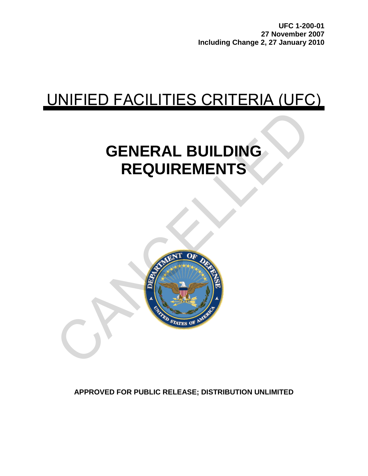# UNIFIED FACILITIES CRITERIA (UFC)

# **GENERAL BUILDING REQUIREMENTS**



**APPROVED FOR PUBLIC RELEASE; DISTRIBUTION UNLIMITED**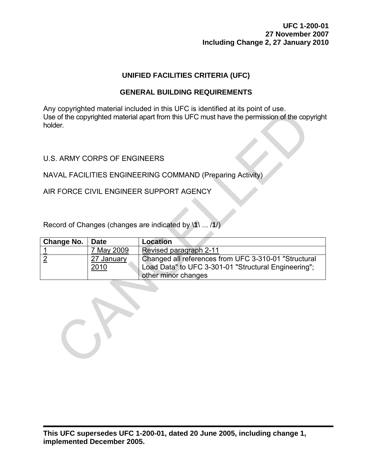# **UNIFIED FACILITIES CRITERIA (UFC)**

# **GENERAL BUILDING REQUIREMENTS**

Any copyrighted material included in this UFC is identified at its point of use. Use of the copyrighted material apart from this UFC must have the permission of the copyright holder.

| holder.                                                   |                    | Any copyrighted material included in this OFC is identified at its point of use.<br>Use of the copyrighted material apart from this UFC must have the permission of the copyright |  |  |  |
|-----------------------------------------------------------|--------------------|-----------------------------------------------------------------------------------------------------------------------------------------------------------------------------------|--|--|--|
| <b>U.S. ARMY CORPS OF ENGINEERS</b>                       |                    |                                                                                                                                                                                   |  |  |  |
| NAVAL FACILITIES ENGINEERING COMMAND (Preparing Activity) |                    |                                                                                                                                                                                   |  |  |  |
| AIR FORCE CIVIL ENGINEER SUPPORT AGENCY                   |                    |                                                                                                                                                                                   |  |  |  |
| Record of Changes (changes are indicated by \1\  /1/)     |                    |                                                                                                                                                                                   |  |  |  |
| <b>Change No.</b>                                         | <b>Date</b>        | <b>Location</b>                                                                                                                                                                   |  |  |  |
|                                                           |                    |                                                                                                                                                                                   |  |  |  |
| $\mathbf 1$                                               | 7 May 2009         | Revised paragraph 2-11                                                                                                                                                            |  |  |  |
| $\overline{2}$                                            | 27 January<br>2010 | Changed all references from UFC 3-310-01 "Structural<br>Load Data" to UFC 3-301-01 "Structural Engineering";<br>other minor changes                                               |  |  |  |

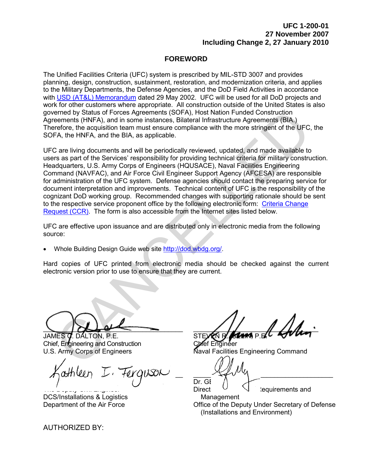## **FOREWORD**

The Unified Facilities Criteria (UFC) system is prescribed by MIL-STD 3007 and provides planning, design, construction, sustainment, restoration, and modernization criteria, and applies to the Military Departments, the Defense Agencies, and the DoD Field Activities in accordance with USD [\(AT&L\) Memorandum](http://www.wbdg.org/pdfs/ufc_implementation.pdf) dated 29 May 2002. UFC will be used for all DoD projects and work for other customers where appropriate. All construction outside of the United States is also governed by Status of Forces Agreements (SOFA), Host Nation Funded Construction Agreements (HNFA), and in some instances, Bilateral Infrastructure Agreements (BIA.) Therefore, the acquisition team must ensure compliance with the more stringent of the UFC, the SOFA, the HNFA, and the BIA, as applicable.

UFC are living documents and will be periodically reviewed, updated, and made available to users as part of the Services' responsibility for providing technical criteria for military construction. Headquarters, U.S. Army Corps of Engineers (HQUSACE), Naval Facilities Engineering Command (NAVFAC), and Air Force Civil Engineer Support Agency (AFCESA) are responsible for administration of the UFC system. Defense agencies should contact the preparing service for document interpretation and improvements. Technical content of UFC is the responsibility of the cognizant DoD working group. Recommended changes with supporting rationale should be sent to the respective service proponent office by the following electronic form: Criteria Change [Request \(CCR\).](http://www.wbdg.org/ccb/browse_cat.php?o=29&c=4) The form is also accessible from the Internet sites listed below. enements (SOFA) status of Forces Agreements (SOFA), Hotel Natalion Funded Construction<br>enements (HNFA), and in some instances, Bilateral Infrastructure Agreements (BIA)<br>refore, the acquisition team must ensure compliance w

UFC are effective upon issuance and are distributed only in electronic media from the following source:

• Whole Building Design Guide web site http://dod.wbdg.org/.

Hard copies of UFC printed from electronic media should be checked against the current electronic version prior to use to ensure that they are current.

 $\sqrt{2\pi r^2}$ JAMES **C.** DALTON, P.E.

Chief, Engineering and Construction U.S. Army Corps of Engineers

 $A$ amuen  $L$ , forquoon KATHLEEN I. FERGUSON, P.E. The Deputy Civil Engineer

DCS/Installations & Logistics Department of the Air Force

 $\frac{1}{2}$ STE**VEN R. PSELINA, P.E.** 

**Mef Engineer** Naval Facilities Engineering Command

\_\_\_\_\_\_\_\_\_\_\_\_\_\_\_\_\_\_\_\_\_\_\_\_\_\_\_\_\_\_\_\_\_\_\_\_\_\_ Dr. GI

Direct  $\vee$   $\vee$  lequirements and

 Management Office of the Deputy Under Secretary of Defense (Installations and Environment)

AUTHORIZED BY: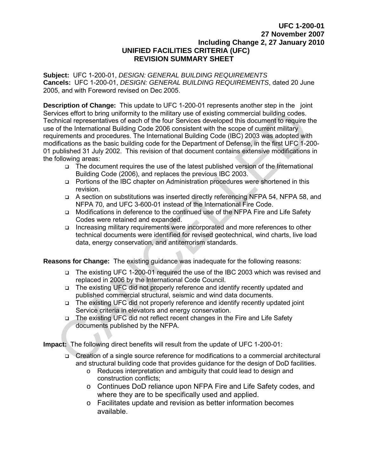#### **UFC 1-200-01 27 November 2007 Including Change 2, 27 January 2010 UNIFIED FACILITIES CRITERIA (UFC) REVISION SUMMARY SHEET**

**Subject:** UFC 1-200-01, *DESIGN: GENERAL BUILDING REQUIREMENTS* **Cancels:** UFC 1-200-01, *DESIGN: GENERAL BUILDING REQUIREMENTS*, dated 20 June 2005, and with Foreword revised on Dec 2005.

**Description of Change:** This update to UFC 1-200-01 represents another step in the joint Services effort to bring uniformity to the military use of existing commercial building codes. Technical representatives of each of the four Services developed this document to require the use of the International Building Code 2006 consistent with the scope of current military requirements and procedures. The International Building Code (IBC) 2003 was adopted with modifications as the basic building code for the Department of Defense, in the first UFC 1-200- 01 published 31 July 2002. This revision of that document contains extensive modifications in the following areas: wices effort to bring uniformly to the military use of existing commercial building codes<br>thrical representatives of each of the four Services developed his document to require the the International Building Code 2006 cons

- $\Box$  The document requires the use of the latest published version of the International Building Code (2006), and replaces the previous IBC 2003.
- □ Portions of the IBC chapter on Administration procedures were shortened in this revision.
- A section on substitutions was inserted directly referencing NFPA 54, NFPA 58, and NFPA 70, and UFC 3-600-01 instead of the International Fire Code.
- Modifications in deference to the continued use of the NFPA Fire and Life Safety Codes were retained and expanded.
- Increasing military requirements were incorporated and more references to other technical documents were identified for revised geotechnical, wind charts, live load data, energy conservation, and antiterrorism standards.

**Reasons for Change:** The existing guidance was inadequate for the following reasons:

- The existing UFC 1-200-01 required the use of the IBC 2003 which was revised and replaced in 2006 by the International Code Council.
- □ The existing UFC did not properly reference and identify recently updated and published commercial structural, seismic and wind data documents.
- The existing UFC did not properly reference and identify recently updated joint Service criteria in elevators and energy conservation.
- The existing UFC did not reflect recent changes in the Fire and Life Safety documents published by the NFPA.

**Impact:** The following direct benefits will result from the update of UFC 1-200-01:

- Creation of a single source reference for modifications to a commercial architectural and structural building code that provides guidance for the design of DoD facilities.
	- o Reduces interpretation and ambiguity that could lead to design and construction conflicts;
	- o Continues DoD reliance upon NFPA Fire and Life Safety codes, and where they are to be specifically used and applied.
	- o Facilitates update and revision as better information becomes available.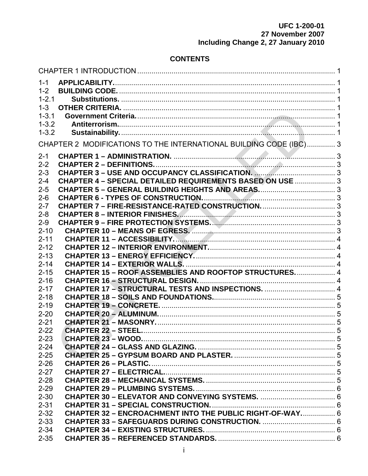# **CONTENTS**

| $1 - 1$<br>$1 - 2$<br>$1 - 2.1$<br>$1 - 3$<br>$1 - 3.1$<br>$1 - 3.2$<br>$1 - 3.2$ |                                                                    |  |
|-----------------------------------------------------------------------------------|--------------------------------------------------------------------|--|
|                                                                                   | CHAPTER 2 MODIFICATIONS TO THE INTERNATIONAL BUILDING CODE (IBC) 3 |  |
| $2 - 1$<br>$2 - 2$<br>$2 - 3$<br>$2 - 4$<br>$2 - 5$                               | CHAPTER 4 - SPECIAL DETAILED REQUIREMENTS BASED ON USE  3          |  |
| $2 - 6$                                                                           |                                                                    |  |
| $2 - 7$<br>$2 - 8$<br>$2 - 9$                                                     |                                                                    |  |
| $2 - 10$                                                                          |                                                                    |  |
| $2 - 11$                                                                          |                                                                    |  |
| $2 - 12$                                                                          |                                                                    |  |
| $2 - 13$<br>$2 - 14$                                                              |                                                                    |  |
| $2 - 15$                                                                          | CHAPTER 15 - ROOF ASSEMBLIES AND ROOFTOP STRUCTURES 4              |  |
| $2 - 16$                                                                          |                                                                    |  |
| $2 - 17$                                                                          | CHAPTER 17 - STRUCTURAL TESTS AND INSPECTIONS.  4                  |  |
| $2 - 18$                                                                          |                                                                    |  |
| $2 - 19$                                                                          |                                                                    |  |
| $2 - 20$                                                                          |                                                                    |  |
| $2 - 21$                                                                          |                                                                    |  |
| $2 - 22$                                                                          |                                                                    |  |
| $2 - 23$                                                                          | <b>CHAPTER 23 - WOOD.</b>                                          |  |
| $2 - 24$                                                                          |                                                                    |  |
| $2 - 25$                                                                          |                                                                    |  |
| $2 - 26$<br>$2 - 27$                                                              |                                                                    |  |
| $2 - 28$                                                                          |                                                                    |  |
| $2 - 29$                                                                          |                                                                    |  |
| $2 - 30$                                                                          |                                                                    |  |
| $2 - 31$                                                                          |                                                                    |  |
| $2 - 32$                                                                          | CHAPTER 32 - ENCROACHMENT INTO THE PUBLIC RIGHT-OF-WAY 6           |  |
| $2 - 33$                                                                          |                                                                    |  |
| $2 - 34$                                                                          |                                                                    |  |
| $2 - 35$                                                                          |                                                                    |  |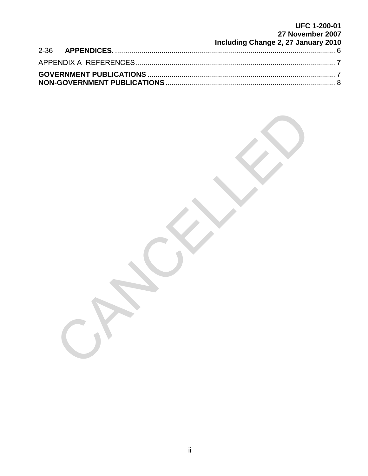|  | <b>UFC 1-200-01</b>                 |
|--|-------------------------------------|
|  | 27 November 2007                    |
|  | Including Change 2, 27 January 2010 |
|  |                                     |
|  |                                     |
|  |                                     |
|  |                                     |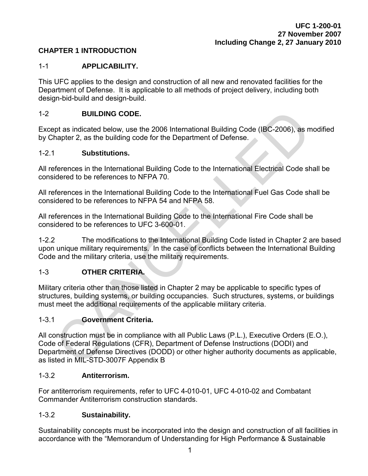# <span id="page-6-0"></span>**CHAPTER 1 INTRODUCTION**

# <span id="page-6-1"></span>1-1 **APPLICABILITY.**

This UFC applies to the design and construction of all new and renovated facilities for the Department of Defense. It is applicable to all methods of project delivery, including both design-bid-build and design-build.

#### 1-2 **BUILDING CODE.**

Except as indicated below, use the 2006 International Building Code (IBC-2006), as modified by Chapter 2, as the building code for the Department of Defense.

#### <span id="page-6-3"></span>1-2.1 **Substitutions.**

All references in the International Building Code to the International Electrical Code shall be considered to be references to NFPA 70.

All references in the International Building Code to the International Fuel Gas Code shall be considered to be references to NFPA 54 and NFPA 58.

All references in the International Building Code to the International Fire Code shall be considered to be references to UFC 3-600-01.

1-2.2 The modifications to the International Building Code listed in Chapter 2 are based upon unique military requirements. In the case of conflicts between the International Building Code and the military criteria, use the military requirements.

## <span id="page-6-4"></span>1-3 **OTHER CRITERIA.**

Military criteria other than those listed in Chapter 2 may be applicable to specific types of structures, building systems, or building occupancies. Such structures, systems, or buildings must meet the additional requirements of the applicable military criteria.

## <span id="page-6-5"></span>1-3.1 **Government Criteria.**

<span id="page-6-2"></span>All construction must be in compliance with all Public Laws (P.L.), Executive Orders (E.O.), Code of Federal Regulations (CFR), Department of Defense Instructions (DODI) and Department of Defense Directives (DODD) or other higher authority documents as applicable, as listed in MIL-STD-3007F Appendix B BUILDING CODE.<br>
Thas indicated below, use the 2006 International Building Code (IBC-2006), as mapter 2, as the building code for the Department of Defense.<br>
Substitutions.<br>
Substitutions.<br>
Substitutions.<br>
Substitutions.<br>
S

#### <span id="page-6-6"></span>1-3.2 **Antiterrorism.**

For antiterrorism requirements, refer to UFC 4-010-01, UFC 4-010-02 and Combatant Commander Antiterrorism construction standards.

#### <span id="page-6-7"></span>1-3.2 **Sustainability.**

Sustainability concepts must be incorporated into the design and construction of all facilities in accordance with the "Memorandum of Understanding for High Performance & Sustainable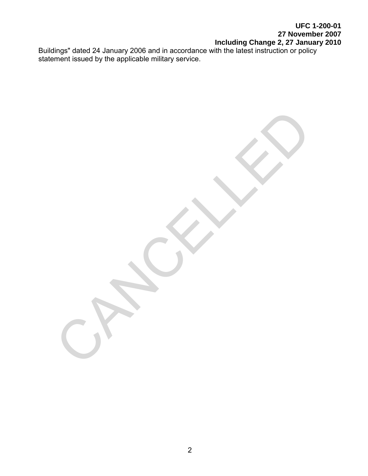Buildings" dated 24 January 2006 and in accordance with the latest instruction or policy statement issued by the applicable military service.

CANCELLED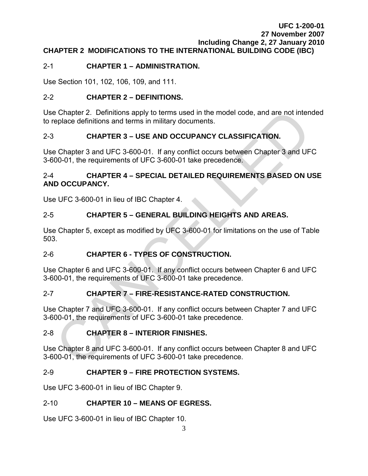#### **UFC 1-200-01 27 November 2007 Including Change 2, 27 January 2010 CHAPTER 2 MODIFICATIONS TO THE INTERNATIONAL BUILDING CODE (IBC)**

# <span id="page-8-1"></span><span id="page-8-0"></span>2-1 **CHAPTER 1 – ADMINISTRATION.**

Use Section 101, 102, 106, 109, and 111.

# <span id="page-8-2"></span>2-2 **CHAPTER 2 – DEFINITIONS.**

Use Chapter 2. Definitions apply to terms used in the model code, and are not intended to replace definitions and terms in military documents.

# <span id="page-8-3"></span>2-3 **CHAPTER 3 – USE AND OCCUPANCY CLASSIFICATION.**

Use Chapter 3 and UFC 3-600-01. If any conflict occurs between Chapter 3 and UFC 3-600-01, the requirements of UFC 3-600-01 take precedence.

# 2-4 **CHAPTER 4 – SPECIAL DETAILED REQUIREMENTS BASED ON USE AND OCCUPANCY.**  Chapter 2. Definitions apply to terms used in the model code, and are not inten<br>
eplace definitions and terms in military documents.<br>
CHAPTER 3 – USE AND OCCUPANCY CLASSIFICATION.<br>
CHAPTER 3 – USE AND OCCUPANCY CLASSIFICAT

<span id="page-8-4"></span>Use UFC 3-600-01 in lieu of IBC Chapter 4.

# <span id="page-8-5"></span>2-5 **CHAPTER 5 – GENERAL BUILDING HEIGHTS AND AREAS.**

Use Chapter 5, except as modified by UFC 3-600-01 for limitations on the use of Table 503.

# <span id="page-8-6"></span>2-6 **CHAPTER 6 - TYPES OF CONSTRUCTION.**

Use Chapter 6 and UFC 3-600-01. If any conflict occurs between Chapter 6 and UFC 3-600-01, the requirements of UFC 3-600-01 take precedence.

# <span id="page-8-7"></span>2-7 **CHAPTER 7 – FIRE-RESISTANCE-RATED CONSTRUCTION.**

Use Chapter 7 and UFC 3-600-01. If any conflict occurs between Chapter 7 and UFC 3-600-01, the requirements of UFC 3-600-01 take precedence.

# <span id="page-8-8"></span>2-8 **CHAPTER 8 – INTERIOR FINISHES.**

Use Chapter 8 and UFC 3-600-01. If any conflict occurs between Chapter 8 and UFC 3-600-01, the requirements of UFC 3-600-01 take precedence.

# <span id="page-8-9"></span>2-9 **CHAPTER 9 – FIRE PROTECTION SYSTEMS.**

Use UFC 3-600-01 in lieu of IBC Chapter 9.

# <span id="page-8-10"></span>2-10 **CHAPTER 10 – MEANS OF EGRESS.**

Use UFC 3-600-01 in lieu of IBC Chapter 10.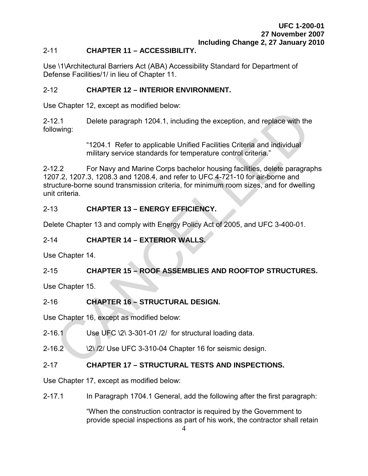# <span id="page-9-0"></span>2-11 **CHAPTER 11 – ACCESSIBILITY.**

Use \1\Architectural Barriers Act (ABA) Accessibility Standard for Department of Defense Facilities/1/ in lieu of Chapter 11.

#### <span id="page-9-1"></span>2-12 **CHAPTER 12 – INTERIOR ENVIRONMENT.**

Use Chapter 12, except as modified below:

2-12.1 Delete paragraph 1204.1, including the exception, and replace with the following:

> "1204.1 Refer to applicable Unified Facilities Criteria and individual military service standards for temperature control criteria."

2-12.2 For Navy and Marine Corps bachelor housing facilities, delete paragraphs 1207.2, 1207.3, 1208.3 and 1208.4, and refer to UFC 4-721-10 for air-borne and structure-borne sound transmission criteria, for minimum room sizes, and for dwelling unit criteria. 2.1 Delete paragraph 1204.1, including the exception, and replace with the<br>
wing:<br>
2.1 Delete paragraph 1204.1, including the exception, and replace with the<br>
2.2 For Navy and Marine Corps bachelor housing facilities, del

## <span id="page-9-2"></span>2-13 **CHAPTER 13 – ENERGY EFFICIENCY.**

Delete Chapter 13 and comply with Energy Policy Act of 2005, and UFC 3-400-01.

## <span id="page-9-3"></span>2-14 **CHAPTER 14 – EXTERIOR WALLS.**

Use Chapter 14.

# <span id="page-9-4"></span>2-15 **CHAPTER 15 – ROOF ASSEMBLIES AND ROOFTOP STRUCTURES.**

Use Chapter 15.

## <span id="page-9-5"></span>2-16 **CHAPTER 16 – STRUCTURAL DESIGN.**

Use Chapter 16, except as modified below:

2-16.1 Use UFC \2\ 3-301-01 /2/ for structural loading data.

2-16.2 \2\ /2/ Use UFC 3-310-04 Chapter 16 for seismic design.

## <span id="page-9-6"></span>2-17 **CHAPTER 17 – STRUCTURAL TESTS AND INSPECTIONS.**

Use Chapter 17, except as modified below:

2-17.1 In Paragraph 1704.1 General, add the following after the first paragraph:

"When the construction contractor is required by the Government to provide special inspections as part of his work, the contractor shall retain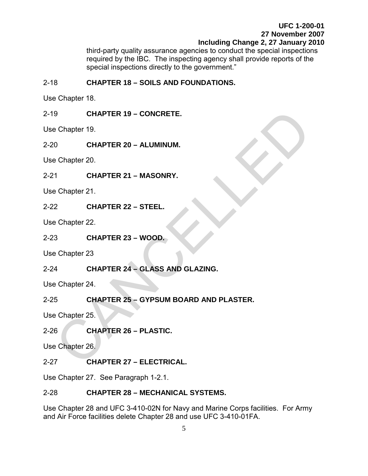third-party quality assurance agencies to conduct the special inspections required by the IBC. The inspecting agency shall provide reports of the special inspections directly to the government."

#### <span id="page-10-0"></span>2-18 **CHAPTER 18 – SOILS AND FOUNDATIONS.**

Use Chapter 18.

2-19 **CHAPTER 19 – CONCRETE.**

Use Chapter 19.

<span id="page-10-2"></span>2-20 **CHAPTER 20 – ALUMINUM.**

Use Chapter 20.

<span id="page-10-3"></span>2-21 **CHAPTER 21 – MASONRY.**

Use Chapter 21.

<span id="page-10-4"></span>2-22 **CHAPTER 22 – STEEL.**

Use Chapter 22.

<span id="page-10-5"></span>2-23 **CHAPTER 23 – WOOD.**

Use Chapter 23

<span id="page-10-6"></span>2-24 **CHAPTER 24 – GLASS AND GLAZING.**

<span id="page-10-7"></span>Use Chapter 24.

<span id="page-10-1"></span>2-25 **CHAPTER 25 – GYPSUM BOARD AND PLASTER.** 9 CHAPTER 19 - CONCRETE.<br>
Chapter 19.<br>
Chapter 20.<br>
1 CHAPTER 21 - MASONRY.<br>
Chapter 21.<br>
2 CHAPTER 22 - STEEL.<br>
Chapter 22.<br>
3 CHAPTER 23 - WOOD.<br>
Chapter 23<br>
4 CHAPTER 24 - GLASS AND GLAZING.<br>
2 Chapter 24.<br>
Chapter 25 -

Use Chapter 25.

<span id="page-10-8"></span>2-26 **CHAPTER 26 – PLASTIC.**

Use Chapter 26.

## <span id="page-10-9"></span>2-27 **CHAPTER 27 – ELECTRICAL.**

Use Chapter 27. See Paragraph 1-2.1.

## <span id="page-10-10"></span>2-28 **CHAPTER 28 – MECHANICAL SYSTEMS.**

Use Chapter 28 and UFC 3-410-02N for Navy and Marine Corps facilities. For Army and Air Force facilities delete Chapter 28 and use UFC 3-410-01FA.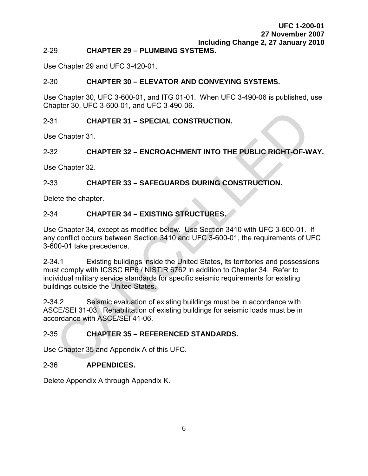# <span id="page-11-0"></span>2-29 **CHAPTER 29 – PLUMBING SYSTEMS.**

Use Chapter 29 and UFC 3-420-01.

#### <span id="page-11-1"></span>2-30 **CHAPTER 30 – ELEVATOR AND CONVEYING SYSTEMS.**

Use Chapter 30, UFC 3-600-01, and ITG 01-01. When UFC 3-490-06 is published, use Chapter 30, UFC 3-600-01, and UFC 3-490-06.

#### <span id="page-11-2"></span>2-31 **CHAPTER 31 – SPECIAL CONSTRUCTION.**

Use Chapter 31.

#### <span id="page-11-3"></span>2-32 **CHAPTER 32 – ENCROACHMENT INTO THE PUBLIC RIGHT-OF-WAY.**

Use Chapter 32.

## <span id="page-11-4"></span>2-33 **CHAPTER 33 – SAFEGUARDS DURING CONSTRUCTION.**

Delete the chapter.

#### <span id="page-11-5"></span>2-34 **CHAPTER 34 – EXISTING STRUCTURES.**

Use Chapter 34, except as modified below. Use Section 3410 with UFC 3-600-01. If any conflict occurs between Section 3410 and UFC 3-600-01, the requirements of UFC 3-600-01 take precedence.

2-34.1 Existing buildings inside the United States, its territories and possessions must comply with ICSSC RP6 / NISTIR 6762 in addition to Chapter 34. Refer to individual military service standards for specific seismic requirements for existing buildings outside the United States. CHAPTER 31 – SPECIAL CONSTRUCTION.<br>
2 CHAPTER 32 – ENCROACHMENT INTO THE PUBLIC RIGHT-OF-W<br>
2 CHAPTER 32 – ENCROACHMENT INTO THE PUBLIC RIGHT-OF-W<br>
2 CHAPTER 33 – SAFEGUARDS DURING CONSTRUCTION.<br>
2 CHAPTER 33 – SAFEGUARDS

2-34.2 Seismic evaluation of existing buildings must be in accordance with ASCE/SEI 31-03. Rehabilitation of existing buildings for seismic loads must be in accordance with ASCE/SEI 41-06.

## <span id="page-11-6"></span>2-35 **CHAPTER 35 – REFERENCED STANDARDS.**

Use Chapter 35 and Appendix A of this UFC.

## <span id="page-11-7"></span>2-36 **APPENDICES.**

Delete Appendix A through Appendix K.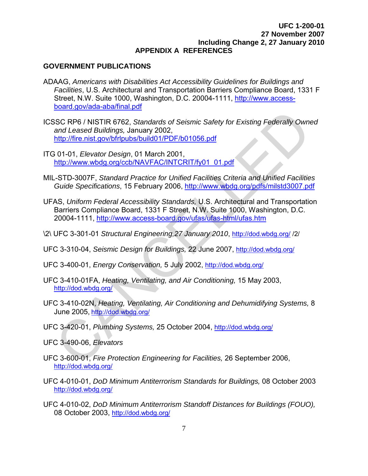#### <span id="page-12-1"></span><span id="page-12-0"></span>**GOVERNMENT PUBLICATIONS**

- ADAAG, *Americans with Disabilities Act Accessibility Guidelines for Buildings and Facilities*, U.S. Architectural and Transportation Barriers Compliance Board, 1331 F Street, N.W. Suite 1000, Washington, D.C. 20004-1111, http://www.accessboard.gov/ada-aba/final.pdf
- ICSSC RP6 / NISTIR 6762, *Standards of Seismic Safety for Existing Federally Owned and Leased Buildings,* January 2002, http://fire.nist.gov/bfrlpubs/build01/PDF/b01056.pdf
- ITG 01-01, *Elevator Design*, 01 March 2001, http://www.wbdg.org/ccb/NAVFAC/INTCRIT/fy01\_01.pdf
- MIL-STD-3007F, *Standard Practice for Unified Facilities Criteria and Unified Facilities Guide Specifications*, 15 February 2006, http://www.wbdg.org/pdfs/milstd3007.pdf
- UFAS, *Uniform Federal Accessibility Standards,* U.S. Architectural and Transportation Barriers Compliance Board, 1331 F Street, N.W. Suite 1000, Washington, D.C. 20004-1111, <u>http://www.access-board.gov/ufas/ufas-html/ufas.htm</u> SSC RP6 / NISTIR 6762, Standards of Seismic Safety for Existing Federally Owner and Leased Buildings, January 2002,<br>
http://fire.nist.gov/bfnbubs/build01/PDF/b01056.pdf<br>
http://fire.nist.gov/bfnbubs/build01/PDF/b01056.pdf<br>
- \2\ UFC 3-301-01 *Structural Engineering,27 January 2010*, http://dod.wbdg.org/ /2/
- UFC 3-310-04, *Seismic Design for Buildings,* 22 June 2007, http://dod.wbdg.org/
- UFC 3-400-01, *Energy Conservation,* 5 July 2002, http://dod.wbdg.org/
- UFC 3-410-01FA, *Heating, Ventilating, and Air Conditioning,* 15 May 2003, http://dod.wbdg.org/
- UFC 3-410-02N, *Heating, Ventilating, Air Conditioning and Dehumidifying Systems,* 8 June 2005, http://dod.wbdg.org/
- UFC 3-420-01, *Plumbing Systems,* 25 October 2004, http://dod.wbdg.org/
- UFC 3-490-06, *Elevators*
- UFC 3-600-01, *Fire Protection Engineering for Facilities,* 26 September 2006, <http://dod.wbdg.org/>
- UFC 4-010-01, *DoD Minimum Antiterrorism Standards for Buildings,* 08 October 2003 <http://dod.wbdg.org/>
- UFC 4-010-02, *DoD Minimum Antiterrorism Standoff Distances for Buildings (FOUO),* 08 October 2003,<http://dod.wbdg.org/>